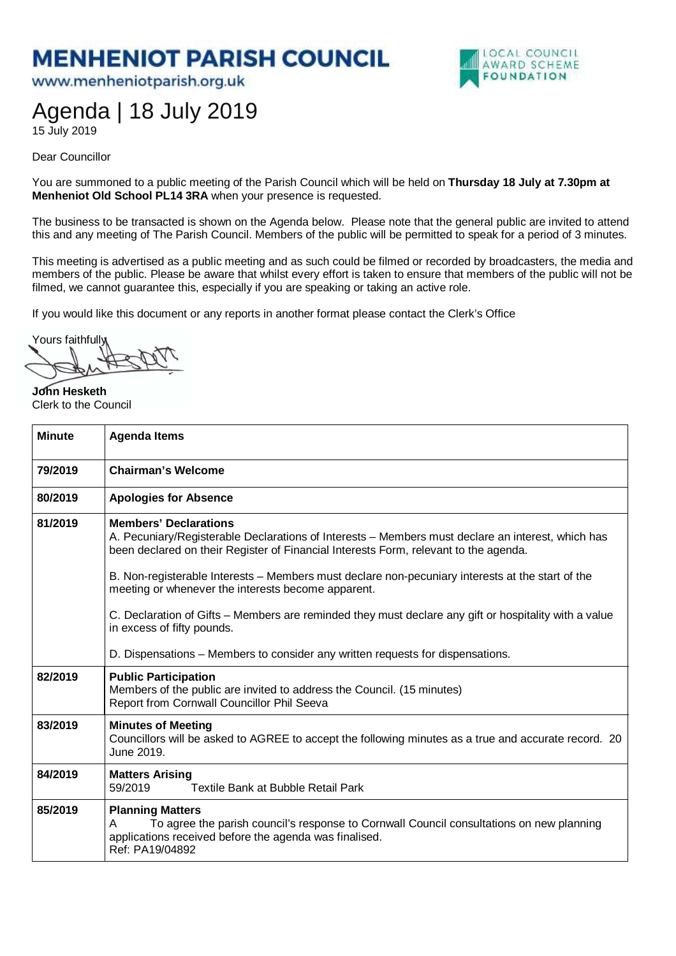## **MENHENIOT PARISH COUNCIL**

www.menheniotparish.org.uk



## Agenda | 18 July 2019

15 July 2019

Dear Councillor

You are summoned to a public meeting of the Parish Council which will be held on **Thursday 18 July at 7.30pm at Menheniot Old School PL14 3RA** when your presence is requested.

The business to be transacted is shown on the Agenda below. Please note that the general public are invited to attend this and any meeting of The Parish Council. Members of the public will be permitted to speak for a period of 3 minutes.

This meeting is advertised as a public meeting and as such could be filmed or recorded by broadcasters, the media and members of the public. Please be aware that whilst every effort is taken to ensure that members of the public will not be filmed, we cannot guarantee this, especially if you are speaking or taking an active role.

If you would like this document or any reports in another format please contact the Clerk's Office

Yours faithfully

**John Hesketh**  Clerk to the Council

| <b>Minute</b> | <b>Agenda Items</b>                                                                                                                                                                                                                                                                                                                                                                                                                                                                                                        |
|---------------|----------------------------------------------------------------------------------------------------------------------------------------------------------------------------------------------------------------------------------------------------------------------------------------------------------------------------------------------------------------------------------------------------------------------------------------------------------------------------------------------------------------------------|
| 79/2019       | <b>Chairman's Welcome</b>                                                                                                                                                                                                                                                                                                                                                                                                                                                                                                  |
| 80/2019       | <b>Apologies for Absence</b>                                                                                                                                                                                                                                                                                                                                                                                                                                                                                               |
| 81/2019       | <b>Members' Declarations</b><br>A. Pecuniary/Registerable Declarations of Interests – Members must declare an interest, which has<br>been declared on their Register of Financial Interests Form, relevant to the agenda.<br>B. Non-registerable Interests – Members must declare non-pecuniary interests at the start of the<br>meeting or whenever the interests become apparent.<br>C. Declaration of Gifts – Members are reminded they must declare any gift or hospitality with a value<br>in excess of fifty pounds. |
|               | D. Dispensations – Members to consider any written requests for dispensations.                                                                                                                                                                                                                                                                                                                                                                                                                                             |
| 82/2019       | <b>Public Participation</b><br>Members of the public are invited to address the Council. (15 minutes)<br>Report from Cornwall Councillor Phil Seeva                                                                                                                                                                                                                                                                                                                                                                        |
| 83/2019       | <b>Minutes of Meeting</b><br>Councillors will be asked to AGREE to accept the following minutes as a true and accurate record. 20<br>June 2019.                                                                                                                                                                                                                                                                                                                                                                            |
| 84/2019       | <b>Matters Arising</b><br>59/2019<br>Textile Bank at Bubble Retail Park                                                                                                                                                                                                                                                                                                                                                                                                                                                    |
| 85/2019       | <b>Planning Matters</b><br>To agree the parish council's response to Cornwall Council consultations on new planning<br>A<br>applications received before the agenda was finalised.<br>Ref: PA19/04892                                                                                                                                                                                                                                                                                                                      |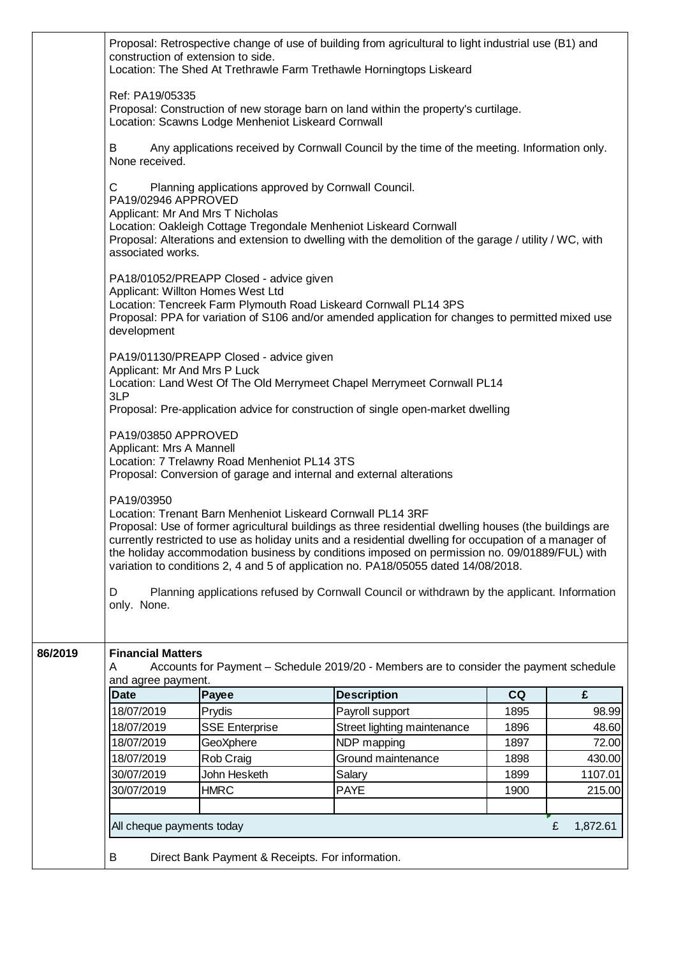|         | Ref: PA19/05335<br>B<br>None received.<br>С<br>PA19/02946 APPROVED                                                                                                                                                                                                                                                                                                                                                                                                                   | Location: Scawns Lodge Menheniot Liskeard Cornwall                           | Proposal: Construction of new storage barn on land within the property's curtilage.<br>Any applications received by Cornwall Council by the time of the meeting. Information only.                                                 |      |         |  |  |
|---------|--------------------------------------------------------------------------------------------------------------------------------------------------------------------------------------------------------------------------------------------------------------------------------------------------------------------------------------------------------------------------------------------------------------------------------------------------------------------------------------|------------------------------------------------------------------------------|------------------------------------------------------------------------------------------------------------------------------------------------------------------------------------------------------------------------------------|------|---------|--|--|
|         |                                                                                                                                                                                                                                                                                                                                                                                                                                                                                      |                                                                              |                                                                                                                                                                                                                                    |      |         |  |  |
|         |                                                                                                                                                                                                                                                                                                                                                                                                                                                                                      |                                                                              |                                                                                                                                                                                                                                    |      |         |  |  |
|         | associated works.                                                                                                                                                                                                                                                                                                                                                                                                                                                                    | Applicant: Mr And Mrs T Nicholas                                             | Planning applications approved by Cornwall Council.<br>Location: Oakleigh Cottage Tregondale Menheniot Liskeard Cornwall<br>Proposal: Alterations and extension to dwelling with the demolition of the garage / utility / WC, with |      |         |  |  |
|         | development                                                                                                                                                                                                                                                                                                                                                                                                                                                                          | PA18/01052/PREAPP Closed - advice given<br>Applicant: Willton Homes West Ltd | Location: Tencreek Farm Plymouth Road Liskeard Cornwall PL14 3PS<br>Proposal: PPA for variation of S106 and/or amended application for changes to permitted mixed use                                                              |      |         |  |  |
|         | Applicant: Mr And Mrs P Luck<br>3LP                                                                                                                                                                                                                                                                                                                                                                                                                                                  | PA19/01130/PREAPP Closed - advice given                                      | Location: Land West Of The Old Merrymeet Chapel Merrymeet Cornwall PL14                                                                                                                                                            |      |         |  |  |
|         |                                                                                                                                                                                                                                                                                                                                                                                                                                                                                      |                                                                              | Proposal: Pre-application advice for construction of single open-market dwelling                                                                                                                                                   |      |         |  |  |
|         | PA19/03850 APPROVED<br>Applicant: Mrs A Mannell                                                                                                                                                                                                                                                                                                                                                                                                                                      | Location: 7 Trelawny Road Menheniot PL14 3TS                                 | Proposal: Conversion of garage and internal and external alterations                                                                                                                                                               |      |         |  |  |
|         | PA19/03950<br>Location: Trenant Barn Menheniot Liskeard Cornwall PL14 3RF<br>Proposal: Use of former agricultural buildings as three residential dwelling houses (the buildings are<br>currently restricted to use as holiday units and a residential dwelling for occupation of a manager of<br>the holiday accommodation business by conditions imposed on permission no. 09/01889/FUL) with<br>variation to conditions 2, 4 and 5 of application no. PA18/05055 dated 14/08/2018. |                                                                              |                                                                                                                                                                                                                                    |      |         |  |  |
|         | D<br>only. None.                                                                                                                                                                                                                                                                                                                                                                                                                                                                     |                                                                              | Planning applications refused by Cornwall Council or withdrawn by the applicant. Information                                                                                                                                       |      |         |  |  |
| 86/2019 | <b>Financial Matters</b><br>Α<br>and agree payment.                                                                                                                                                                                                                                                                                                                                                                                                                                  |                                                                              | Accounts for Payment – Schedule 2019/20 - Members are to consider the payment schedule                                                                                                                                             |      |         |  |  |
|         | <b>Date</b>                                                                                                                                                                                                                                                                                                                                                                                                                                                                          | Payee                                                                        | <b>Description</b>                                                                                                                                                                                                                 | CQ   | £       |  |  |
|         | 18/07/2019                                                                                                                                                                                                                                                                                                                                                                                                                                                                           | Prydis                                                                       | Payroll support                                                                                                                                                                                                                    | 1895 | 98.99   |  |  |
|         | 18/07/2019                                                                                                                                                                                                                                                                                                                                                                                                                                                                           | <b>SSE Enterprise</b>                                                        | Street lighting maintenance                                                                                                                                                                                                        | 1896 | 48.60   |  |  |
|         | 18/07/2019                                                                                                                                                                                                                                                                                                                                                                                                                                                                           | GeoXphere                                                                    | NDP mapping                                                                                                                                                                                                                        | 1897 | 72.00   |  |  |
|         | 18/07/2019                                                                                                                                                                                                                                                                                                                                                                                                                                                                           | Rob Craig                                                                    | Ground maintenance                                                                                                                                                                                                                 | 1898 | 430.00  |  |  |
|         | 30/07/2019                                                                                                                                                                                                                                                                                                                                                                                                                                                                           | John Hesketh                                                                 | Salary                                                                                                                                                                                                                             | 1899 | 1107.01 |  |  |
|         | 30/07/2019                                                                                                                                                                                                                                                                                                                                                                                                                                                                           | <b>HMRC</b>                                                                  | <b>PAYE</b>                                                                                                                                                                                                                        | 1900 | 215.00  |  |  |
|         |                                                                                                                                                                                                                                                                                                                                                                                                                                                                                      |                                                                              |                                                                                                                                                                                                                                    |      |         |  |  |
|         | All cheque payments today<br>£<br>1,872.61                                                                                                                                                                                                                                                                                                                                                                                                                                           |                                                                              |                                                                                                                                                                                                                                    |      |         |  |  |
|         | В                                                                                                                                                                                                                                                                                                                                                                                                                                                                                    | Direct Bank Payment & Receipts. For information.                             |                                                                                                                                                                                                                                    |      |         |  |  |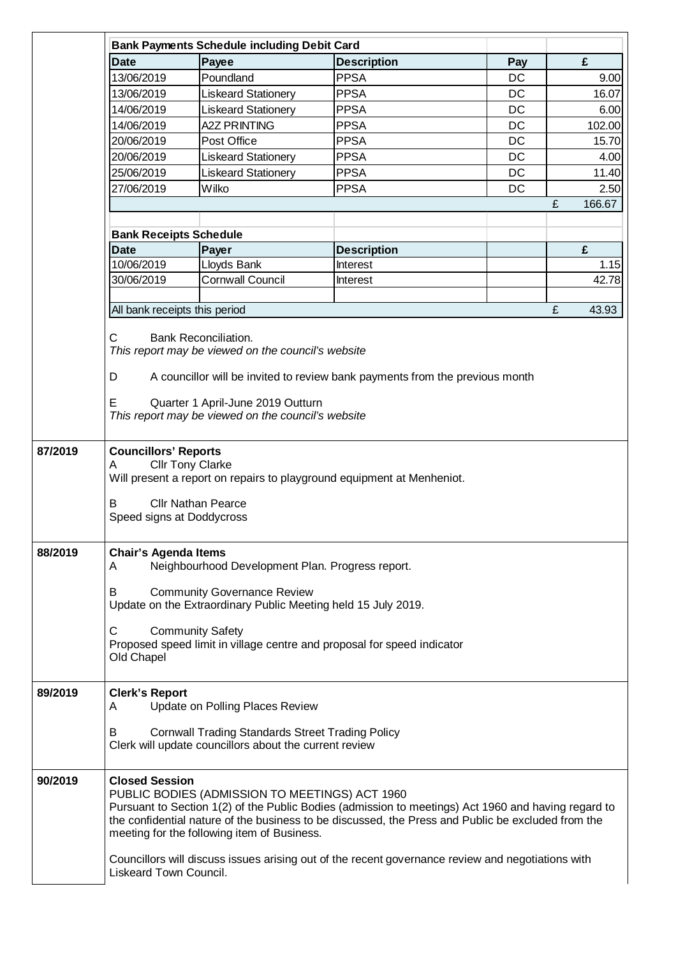|         | <b>Bank Payments Schedule including Debit Card</b>                                                                                                                                                   |                                                                                                                                                                                                                                                                                                                                     |                                                                                                   |     |             |  |  |  |
|---------|------------------------------------------------------------------------------------------------------------------------------------------------------------------------------------------------------|-------------------------------------------------------------------------------------------------------------------------------------------------------------------------------------------------------------------------------------------------------------------------------------------------------------------------------------|---------------------------------------------------------------------------------------------------|-----|-------------|--|--|--|
|         | <b>Date</b>                                                                                                                                                                                          | Payee                                                                                                                                                                                                                                                                                                                               | <b>Description</b>                                                                                | Pay | £           |  |  |  |
|         | 13/06/2019                                                                                                                                                                                           | Poundland                                                                                                                                                                                                                                                                                                                           | <b>PPSA</b>                                                                                       | DC  | 9.00        |  |  |  |
|         | 13/06/2019                                                                                                                                                                                           | <b>Liskeard Stationery</b>                                                                                                                                                                                                                                                                                                          | <b>PPSA</b>                                                                                       | DC  | 16.07       |  |  |  |
|         | 14/06/2019                                                                                                                                                                                           | <b>Liskeard Stationery</b>                                                                                                                                                                                                                                                                                                          | <b>PPSA</b>                                                                                       | DC  | 6.00        |  |  |  |
|         | 14/06/2019                                                                                                                                                                                           | <b>A2Z PRINTING</b>                                                                                                                                                                                                                                                                                                                 | <b>PPSA</b>                                                                                       | DC  | 102.00      |  |  |  |
|         | 20/06/2019                                                                                                                                                                                           | Post Office                                                                                                                                                                                                                                                                                                                         | <b>PPSA</b>                                                                                       | DC  | 15.70       |  |  |  |
|         | 20/06/2019                                                                                                                                                                                           | <b>Liskeard Stationery</b>                                                                                                                                                                                                                                                                                                          | <b>PPSA</b>                                                                                       | DC  | 4.00        |  |  |  |
|         | 25/06/2019                                                                                                                                                                                           | <b>Liskeard Stationery</b>                                                                                                                                                                                                                                                                                                          | <b>PPSA</b>                                                                                       | DC  | 11.40       |  |  |  |
|         | 27/06/2019                                                                                                                                                                                           | Wilko                                                                                                                                                                                                                                                                                                                               | <b>PPSA</b>                                                                                       | DC  | 2.50        |  |  |  |
|         |                                                                                                                                                                                                      |                                                                                                                                                                                                                                                                                                                                     |                                                                                                   |     | £<br>166.67 |  |  |  |
|         |                                                                                                                                                                                                      |                                                                                                                                                                                                                                                                                                                                     |                                                                                                   |     |             |  |  |  |
|         | <b>Bank Receipts Schedule</b>                                                                                                                                                                        |                                                                                                                                                                                                                                                                                                                                     |                                                                                                   |     |             |  |  |  |
|         | <b>Date</b>                                                                                                                                                                                          | Payer                                                                                                                                                                                                                                                                                                                               | <b>Description</b>                                                                                |     | £           |  |  |  |
|         | 10/06/2019                                                                                                                                                                                           | Lloyds Bank                                                                                                                                                                                                                                                                                                                         | Interest                                                                                          |     | 1.15        |  |  |  |
|         | 30/06/2019                                                                                                                                                                                           | <b>Cornwall Council</b>                                                                                                                                                                                                                                                                                                             | Interest                                                                                          |     | 42.78       |  |  |  |
|         |                                                                                                                                                                                                      |                                                                                                                                                                                                                                                                                                                                     |                                                                                                   |     |             |  |  |  |
|         | All bank receipts this period                                                                                                                                                                        |                                                                                                                                                                                                                                                                                                                                     |                                                                                                   |     | £<br>43.93  |  |  |  |
|         | D<br>E                                                                                                                                                                                               | Quarter 1 April-June 2019 Outturn<br>This report may be viewed on the council's website                                                                                                                                                                                                                                             | A councillor will be invited to review bank payments from the previous month                      |     |             |  |  |  |
| 87/2019 | <b>Councillors' Reports</b><br><b>Cllr Tony Clarke</b><br>A<br>Will present a report on repairs to playground equipment at Menheniot.<br><b>Cllr Nathan Pearce</b><br>В<br>Speed signs at Doddycross |                                                                                                                                                                                                                                                                                                                                     |                                                                                                   |     |             |  |  |  |
| 88/2019 | <b>Chair's Agenda Items</b><br>Neighbourhood Development Plan. Progress report.<br>A                                                                                                                 |                                                                                                                                                                                                                                                                                                                                     |                                                                                                   |     |             |  |  |  |
|         | B                                                                                                                                                                                                    | <b>Community Governance Review</b><br>Update on the Extraordinary Public Meeting held 15 July 2019.                                                                                                                                                                                                                                 |                                                                                                   |     |             |  |  |  |
|         | C<br>Old Chapel                                                                                                                                                                                      | <b>Community Safety</b>                                                                                                                                                                                                                                                                                                             | Proposed speed limit in village centre and proposal for speed indicator                           |     |             |  |  |  |
| 89/2019 | <b>Clerk's Report</b><br>A                                                                                                                                                                           | Update on Polling Places Review                                                                                                                                                                                                                                                                                                     |                                                                                                   |     |             |  |  |  |
|         | B                                                                                                                                                                                                    | <b>Cornwall Trading Standards Street Trading Policy</b><br>Clerk will update councillors about the current review                                                                                                                                                                                                                   |                                                                                                   |     |             |  |  |  |
| 90/2019 |                                                                                                                                                                                                      | <b>Closed Session</b><br>PUBLIC BODIES (ADMISSION TO MEETINGS) ACT 1960<br>Pursuant to Section 1(2) of the Public Bodies (admission to meetings) Act 1960 and having regard to<br>the confidential nature of the business to be discussed, the Press and Public be excluded from the<br>meeting for the following item of Business. |                                                                                                   |     |             |  |  |  |
|         | Liskeard Town Council.                                                                                                                                                                               |                                                                                                                                                                                                                                                                                                                                     | Councillors will discuss issues arising out of the recent governance review and negotiations with |     |             |  |  |  |